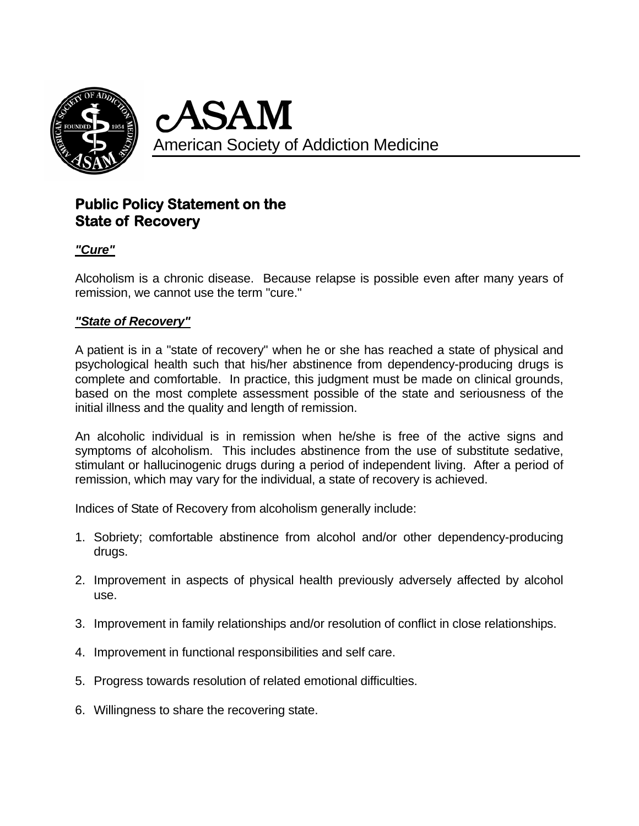

c ASAM American Society of Addiction Medicine

## **Public Policy Statement on the State of Recovery**

### *"Cure"*

Alcoholism is a chronic disease. Because relapse is possible even after many years of remission, we cannot use the term "cure."

#### *"State of Recovery"*

A patient is in a "state of recovery" when he or she has reached a state of physical and psychological health such that his/her abstinence from dependency-producing drugs is complete and comfortable. In practice, this judgment must be made on clinical grounds, based on the most complete assessment possible of the state and seriousness of the initial illness and the quality and length of remission.

An alcoholic individual is in remission when he/she is free of the active signs and symptoms of alcoholism. This includes abstinence from the use of substitute sedative, stimulant or hallucinogenic drugs during a period of independent living. After a period of remission, which may vary for the individual, a state of recovery is achieved.

Indices of State of Recovery from alcoholism generally include:

- 1. Sobriety; comfortable abstinence from alcohol and/or other dependency-producing drugs.
- 2. Improvement in aspects of physical health previously adversely affected by alcohol use.
- 3. Improvement in family relationships and/or resolution of conflict in close relationships.
- 4. Improvement in functional responsibilities and self care.
- 5. Progress towards resolution of related emotional difficulties.
- 6. Willingness to share the recovering state.